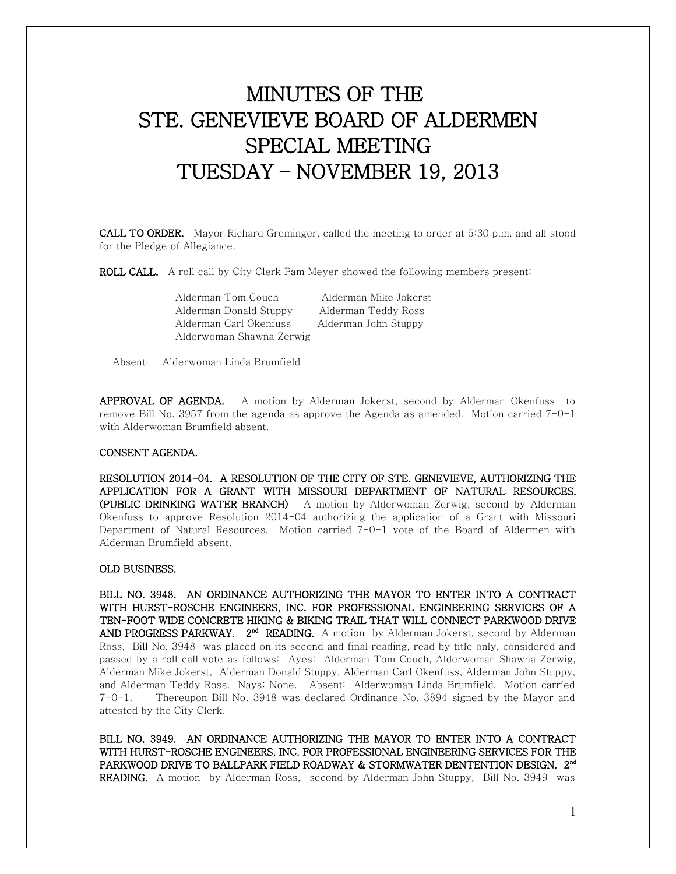# MINUTES OF THE STE. GENEVIEVE BOARD OF ALDERMEN SPECIAL MEETING TUESDAY – NOVEMBER 19, 2013

CALL TO ORDER. Mayor Richard Greminger, called the meeting to order at 5:30 p.m. and all stood for the Pledge of Allegiance.

ROLL CALL. A roll call by City Clerk Pam Meyer showed the following members present:

 Alderman Tom Couch Alderman Mike Jokerst Alderman Donald Stuppy Alderman Teddy Ross Alderman Carl Okenfuss Alderman John Stuppy Alderwoman Shawna Zerwig

Absent: Alderwoman Linda Brumfield

APPROVAL OF AGENDA. A motion by Alderman Jokerst, second by Alderman Okenfuss to remove Bill No. 3957 from the agenda as approve the Agenda as amended. Motion carried  $7\neg -1$ with Alderwoman Brumfield absent.

## CONSENT AGENDA.

RESOLUTION 2014-04. A RESOLUTION OF THE CITY OF STE. GENEVIEVE, AUTHORIZING THE APPLICATION FOR A GRANT WITH MISSOURI DEPARTMENT OF NATURAL RESOURCES. (PUBLIC DRINKING WATER BRANCH) A motion by Alderwoman Zerwig, second by Alderman Okenfuss to approve Resolution 2014-04 authorizing the application of a Grant with Missouri Department of Natural Resources. Motion carried 7-0-1 vote of the Board of Aldermen with Alderman Brumfield absent.

### OLD BUSINESS.

BILL NO. 3948. AN ORDINANCE AUTHORIZING THE MAYOR TO ENTER INTO A CONTRACT WITH HURST-ROSCHE ENGINEERS, INC. FOR PROFESSIONAL ENGINEERING SERVICES OF A TEN-FOOT WIDE CONCRETE HIKING & BIKING TRAIL THAT WILL CONNECT PARKWOOD DRIVE AND PROGRESS PARKWAY. 2<sup>nd</sup> READING. A motion by Alderman Jokerst, second by Alderman Ross, Bill No. 3948 was placed on its second and final reading, read by title only, considered and passed by a roll call vote as follows: Ayes: Alderman Tom Couch, Alderwoman Shawna Zerwig, Alderman Mike Jokerst, Alderman Donald Stuppy, Alderman Carl Okenfuss, Alderman John Stuppy, and Alderman Teddy Ross. Nays: None. Absent: Alderwoman Linda Brumfield. Motion carried 7-0-1. Thereupon Bill No. 3948 was declared Ordinance No. 3894 signed by the Mayor and attested by the City Clerk.

BILL NO. 3949. AN ORDINANCE AUTHORIZING THE MAYOR TO ENTER INTO A CONTRACT WITH HURST-ROSCHE ENGINEERS, INC. FOR PROFESSIONAL ENGINEERING SERVICES FOR THE PARKWOOD DRIVE TO BALLPARK FIELD ROADWAY & STORMWATER DENTENTION DESIGN. 2<sup>nd</sup> **READING.** A motion by Alderman Ross, second by Alderman John Stuppy, Bill No. 3949 was